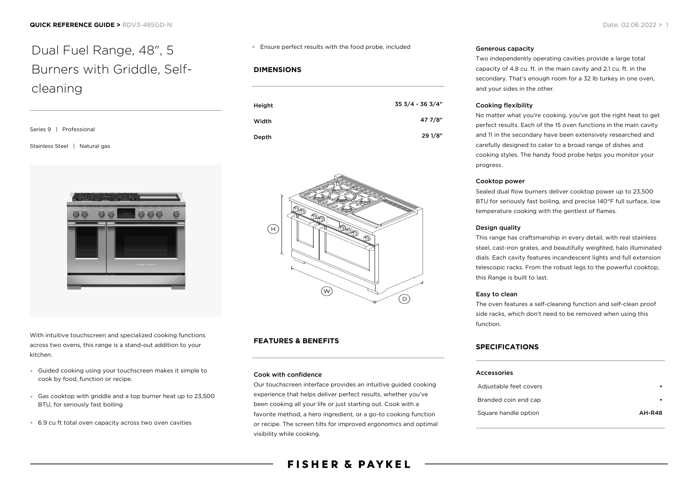# Dual Fuel Range, 48", 5 Burners with Griddle, Selfcleaning

| Series 9   Professional       |
|-------------------------------|
| Stainless Steel   Natural gas |



With intuitive touchscreen and specialized cooking functions across two ovens, this range is a stand-out addition to your kitchen.

- Guided cooking using your touchscreen makes it simple to cook by food, function or recipe.
- Gas cooktop with griddle and a top burner heat up to 23,500 BTU, for seriously fast boiling
- 6.9 cu ft total oven capacity across two oven cavities

#### Ensure perfect results with the food probe, included

### **DIMENSIONS**

| Height | 35 3/4 - 36 3/4" |
|--------|------------------|
| Width  | 47 7/8"          |
| Depth  | 29 1/8"          |



## **FEATURES & BENEFITS**

#### Cook with confidence

Our touchscreen interface provides an intuitive guided cooking experience that helps deliver perfect results, whether you've been cooking all your life or just starting out. Cook with a favorite method, a hero ingredient, or a go-to cooking function or recipe. The screen tilts for improved ergonomics and optimal visibility while cooking.

## Generous capacity

Two independently operating cavities provide a large total capacity of 4.8 cu. ft. in the main cavity and 2.1 cu. ft. in the secondary. That's enough room for a 32 lb turkey in one oven, and your sides in the other.

### Cooking flexibility

No matter what you're cooking, you've got the right heat to get perfect results. Each of the 15 oven functions in the main cavity and 11 in the secondary have been extensively researched and carefully designed to cater to a broad range of dishes and cooking styles. The handy food probe helps you monitor your progress.

#### Cooktop power

Sealed dual flow burners deliver cooktop power up to 23,500 BTU for seriously fast boiling, and precise 140°F full surface, low temperature cooking with the gentlest of flames.

#### Design quality

This range has craftsmanship in every detail, with real stainless steel, cast-iron grates, and beautifully weighted, halo illuminated dials. Each cavity features incandescent lights and full extension telescopic racks. From the robust legs to the powerful cooktop, this Range is built to last.

#### Easy to clean

The oven features a self-cleaning function and self-clean proof side racks, which don't need to be removed when using this function.

### **SPECIFICATIONS**

#### Accessories

| Adjustable feet covers |               |
|------------------------|---------------|
| Branded coin end cap   |               |
| Square handle option   | <b>AH-R48</b> |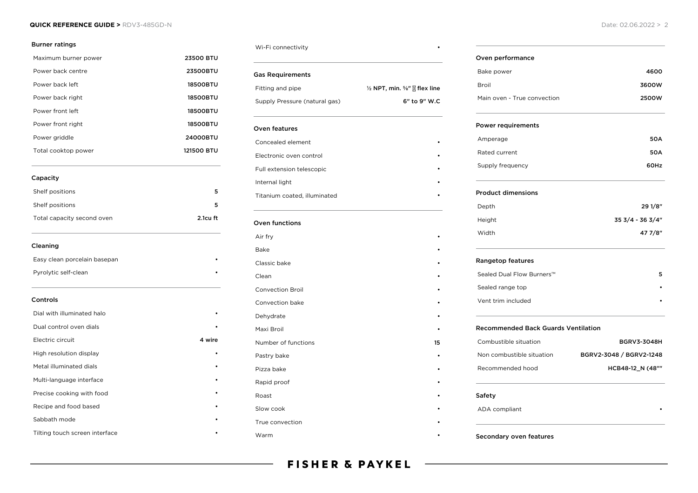#### **QUICK REFERENCE GUIDE >** RDV3-485GD-N Date: 02.06.2022 > 2

#### Burner ratings

| Maximum burner power           | <b>23500 BTU</b> |
|--------------------------------|------------------|
| Power back centre              | 23500BTU         |
| Power back left                | <b>18500BTU</b>  |
| Power back right               | <b>18500BTU</b>  |
| Power front left               | 18500BTU         |
| Power front right              | 18500BTU         |
| Power griddle                  | 24000BTU         |
| Total cooktop power            | 121500 BTU       |
| Capacity                       |                  |
| Shelf positions                | 5                |
| Shelf positions                | 5                |
| Total capacity second oven     | 2.1cu ft         |
| Cleaning                       |                  |
| Easy clean porcelain basepan   |                  |
| Pyrolytic self-clean           |                  |
| Controls                       |                  |
| Dial with illuminated halo     |                  |
| Dual control oven dials        |                  |
| Electric circuit               | 4 wire           |
| High resolution display        |                  |
| Metal illuminated dials        |                  |
| Multi-language interface       |                  |
| Precise cooking with food      |                  |
| Recipe and food based          |                  |
| Sabbath mode                   |                  |
| Tilting touch screen interface |                  |

#### Wi-Fi connectivity

| Gas Requirements              |                                                        |
|-------------------------------|--------------------------------------------------------|
| Fitting and pipe              | $\frac{1}{2}$ NPT, min. $\frac{5}{8}$ " $\%$ flex line |
| Supply Pressure (natural gas) | $6"$ to $9"$ W.C                                       |
|                               |                                                        |

| Oven features                |  |  |
|------------------------------|--|--|
| Concealed element            |  |  |
| Electronic oven control      |  |  |
| Full extension telescopic    |  |  |
| Internal light               |  |  |
| Titanium coated, illuminated |  |  |
|                              |  |  |

## Oven functions

| Air fry                 |    |
|-------------------------|----|
| Bake                    |    |
| Classic bake            |    |
| Clean                   |    |
| <b>Convection Broil</b> |    |
| Convection bake         |    |
| Dehydrate               |    |
| Maxi Broil              |    |
| Number of functions     | 15 |
| Pastry bake             |    |
| Pizza bake              |    |
| Rapid proof             |    |
| Roast                   |    |
| Slow cook               |    |
| True convection         |    |
| Warm                    |    |

#### Oven performance

| Bake power                  | 4600  |
|-----------------------------|-------|
| Broil                       | 3600W |
| Main oven - True convection | 2500W |

#### Power requirements

| Amperage         | <b>50A</b> |
|------------------|------------|
| Rated current    | <b>50A</b> |
| Supply frequency | 60Hz       |

#### Product dimensions

| Depth  | 29 1/8"          |
|--------|------------------|
| Height | 35 3/4 - 36 3/4" |
| Width  | 47 7/8"          |

#### Rangetop features

| Sealed Dual Flow Burners™ |  |
|---------------------------|--|
| Sealed range top          |  |
| Vent trim included        |  |

## Recommended Back Guards Ventilation

| Combustible situation     | <b>BGRV3-3048H</b>      |
|---------------------------|-------------------------|
| Non combustible situation | BGRV2-3048 / BGRV2-1248 |
| Recommended hood          | HCB48-12 N (48""        |

## Safety

ADA compliant

#### Secondary oven features

## **FISHER & PAYKEL**